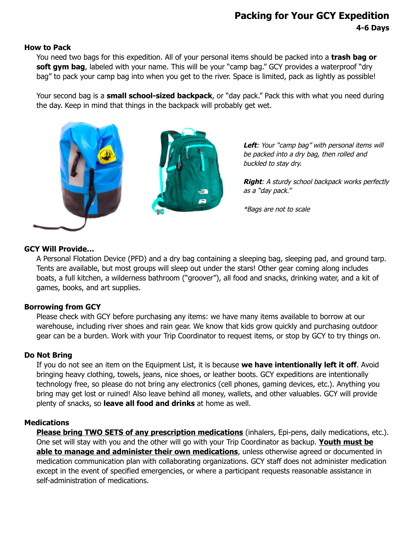# **Packing for Your GCY Expedition 4-6 Days**

#### **How to Pack**

You need two bags for this expedition. All of your personal items should be packed into a **trash bag or** soft gym bag, labeled with your name. This will be your "camp bag." GCY provides a waterproof "dry bag" to pack your camp bag into when you get to the river. Space is limited, pack as lightly as possible!

Your second bag is a **small school-sized backpack**, or "day pack." Pack this with what you need during the day. Keep in mind that things in the backpack will probably get wet.



Left: Your "camp bag" with personal items will be packed into a dry bag, then rolled and buckled to stay dry.

**Right**: A sturdy school backpack works perfectly as <sup>a</sup>"day pack."

\*Bags are not to scale

### **GCY Will Provide…**

A Personal Flotation Device (PFD) and a dry bag containing a sleeping bag, sleeping pad, and ground tarp. Tents are available, but most groups will sleep out under the stars! Other gear coming along includes boats, a full kitchen, a wilderness bathroom ("groover"), all food and snacks, drinking water, and a kit of games, books, and art supplies.

### **Borrowing from GCY**

Please check with GCY before purchasing any items: we have many items available to borrow at our warehouse, including river shoes and rain gear. We know that kids grow quickly and purchasing outdoor gear can be a burden. Work with your Trip Coordinator to request items, or stop by GCY to try things on.

### **Do Not Bring**

If you do not see an item on the Equipment List, it is because **we have intentionally left it off**. Avoid bringing heavy clothing, towels, jeans, nice shoes, or leather boots. GCY expeditions are intentionally technology free, so please do not bring any electronics (cell phones, gaming devices, etc.). Anything you bring may get lost or ruined! Also leave behind all money, wallets, and other valuables. GCY will provide plenty of snacks, so **leave all food and drinks** at home as well.

### **Medications**

**Please bring TWO SETS of any prescription medications** (inhalers, Epi-pens, daily medications, etc.). One set will stay with you and the other will go with your Trip Coordinator as backup. **Youth must be able to manage and administer their own medications**, unless otherwise agreed or documented in medication communication plan with collaborating organizations. GCY staff does not administer medication except in the event of specified emergencies, or where a participant requests reasonable assistance in self-administration of medications.